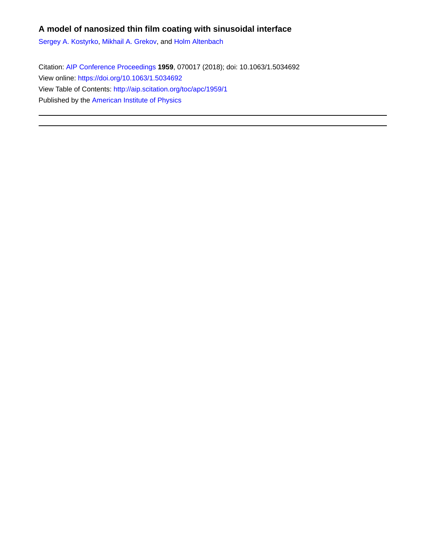# **A model of nanosized thin film coating with sinusoidal interface**

[Sergey A. Kostyrko,](http://aip.scitation.org/author/Kostyrko%2C+Sergey+A) [Mikhail A. Grekov,](http://aip.scitation.org/author/Grekov%2C+Mikhail+A) and [Holm Altenbach](http://aip.scitation.org/author/Altenbach%2C+Holm)

Citation: [AIP Conference Proceedings](/loi/apc) **1959**, 070017 (2018); doi: 10.1063/1.5034692 View online: <https://doi.org/10.1063/1.5034692> View Table of Contents: <http://aip.scitation.org/toc/apc/1959/1> Published by the [American Institute of Physics](http://aip.scitation.org/publisher/)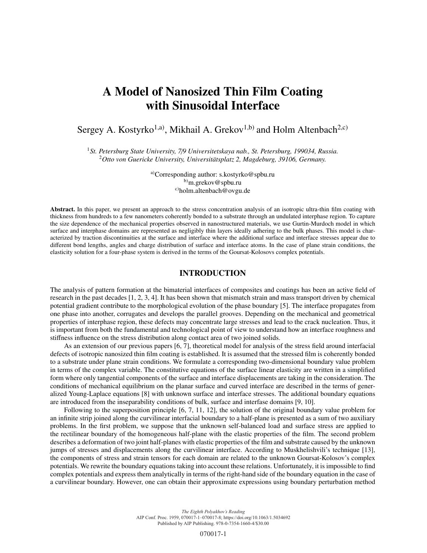# A Model of Nanosized Thin Film Coating with Sinusoidal Interface

Sergey A. Kostyrko<sup>1,a)</sup>, Mikhail A. Grekov<sup>1,b)</sup> and Holm Altenbach<sup>2,c)</sup>

<sup>1</sup>*St. Petersburg State University, 7*/*9 Universitetskaya nab., St. Petersburg, 199034, Russia.* <sup>2</sup>Otto von Guericke University, Universitätsplatz 2, Magdeburg, 39106, Germany.

> a)Corresponding author: s.kostyrko@spbu.ru b)m.grekov@spbu.ru c)holm.altenbach@ovgu.de

Abstract. In this paper, we present an approach to the stress concentration analysis of an isotropic ultra-thin film coating with thickness from hundreds to a few nanometers coherently bonded to a substrate through an undulated interphase region. To capture the size dependence of the mechanical properties observed in nanostructured materials, we use Gurtin-Murdoch model in which surface and interphase domains are represented as negligibly thin layers ideally adhering to the bulk phases. This model is characterized by traction discontinuities at the surface and interface where the additional surface and interface stresses appear due to different bond lengths, angles and charge distribution of surface and interface atoms. In the case of plane strain conditions, the elasticity solution for a four-phase system is derived in the terms of the Goursat-Kolosovs complex potentials.

### INTRODUCTION

The analysis of pattern formation at the bimaterial interfaces of composites and coatings has been an active field of research in the past decades [1, 2, 3, 4]. It has been shown that mismatch strain and mass transport driven by chemical potential gradient contribute to the morphological evolution of the phase boundary [5]. The interface propagates from one phase into another, corrugates and develops the parallel grooves. Depending on the mechanical and geometrical properties of interphase region, these defects may concentrate large stresses and lead to the crack nucleation. Thus, it is important from both the fundamental and technological point of view to understand how an interface roughness and stiffness influence on the stress distribution along contact area of two joined solids.

As an extension of our previous papers [6, 7], theoretical model for analysis of the stress field around interfacial defects of isotropic nanosized thin film coating is established. It is assumed that the stressed film is coherently bonded to a substrate under plane strain conditions. We formulate a corresponding two-dimensional boundary value problem in terms of the complex variable. The constitutive equations of the surface linear elasticity are written in a simplified form where only tangential components of the surface and interface displacements are taking in the consideration. The conditions of mechanical equilibrium on the planar surface and curved interface are described in the terms of generalized Young-Laplace equations [8] with unknown surface and interface stresses. The additional boundary equations are introduced from the inseparability conditions of bulk, surface and interfase domains [9, 10].

Following to the superposition principle [6, 7, 11, 12], the solution of the original boundary value problem for an infinite strip joined along the curvilinear interfacial boundary to a half-plane is presented as a sum of two auxiliary problems. In the first problem, we suppose that the unknown self-balanced load and surface stress are applied to the rectilinear boundary of the homogeneous half-plane with the elastic properties of the film. The second problem describes a deformation of two joint half-planes with elastic properties of the film and substrate caused by the unknown jumps of stresses and displacements along the curvilinear interface. According to Muskhelishvili's technique [13], the components of stress and strain tensors for each domain are related to the unknown Goursat-Kolosov's complex potentials. We rewrite the boundary equations taking into account these relations. Unfortunately, it is impossible to find complex potentials and express them analytically in terms of the right-hand side of the boundary equation in the case of a curvilinear boundary. However, one can obtain their approximate expressions using boundary perturbation method

> *The Eighth Polyakhov's Reading* AIP Conf. Proc. 1959, 070017-1–070017-8; https://doi.org/10.1063/1.5034692 Published by AIP Publishing. 978-0-7354-1660-4/\$30.00

> > 070017-1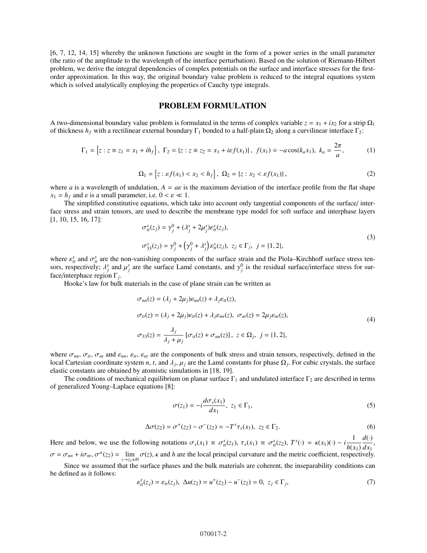[6, 7, 12, 14, 15] whereby the unknown functions are sought in the form of a power series in the small parameter (the ratio of the amplitude to the wavelength of the interface perturbation). Based on the solution of Riemann-Hilbert problem, we derive the integral dependencies of complex potentials on the surface and interface stresses for the firstorder approximation. In this way, the original boundary value problem is reduced to the integral equations system which is solved analytically employing the properties of Cauchy type integrals.

#### PROBLEM FORMULATION

A two-dimensional boundary value problem is formulated in the terms of complex variable  $z = x_1 + ix_2$  for a strip  $\Omega_1$ of thickness  $h_f$  with a rectilinear external boundary Γ<sub>1</sub> bonded to a half-plain  $Ω_2$  along a curvilinear interface Γ<sub>2</sub>:

$$
\Gamma_1 = \left\{ z : z \equiv z_1 = x_1 + ih_f \right\}, \ \Gamma_2 = \left\{ z : z \equiv z_2 = x_1 + i\varepsilon f(x_1) \right\}, \ f(x_1) = -a\cos(k_a x_1), \ k_a = \frac{2\pi}{a}, \tag{1}
$$

$$
\Omega_1 = \left\{ z : \varepsilon f(x_1) < x_2 < h_f \right\}, \ \Omega_2 = \left\{ z : x_2 < \varepsilon f(x_1) \right\},\tag{2}
$$

where *a* is a wavelength of undulation,  $A = a\varepsilon$  is the maximum deviation of the interface profile from the flat shape  $x_1 = h_f$  and  $\varepsilon$  is a small parameter, i.e.  $0 < \varepsilon \ll 1$ .

The simplified constitutive equations, which take into account only tangential components of the surface/ interface stress and strain tensors, are used to describe the membrane type model for soft surface and interphase layers [1, 10, 15, 16, 17]:

$$
\sigma_{it}^{s}(z_{j}) = \gamma_{j}^{0} + (\lambda_{j}^{s} + 2\mu_{j}^{s})\varepsilon_{it}^{s}(z_{j}),
$$
\n
$$
\sigma_{33}^{s}(z_{j}) = \gamma_{j}^{0} + (\gamma_{j}^{0} + \lambda_{j}^{s})\varepsilon_{it}^{s}(z_{j}), \ z_{j} \in \Gamma_{j}, \ j = \{1, 2\},
$$
\n(3)

where  $\varepsilon_n^s$  and  $\sigma_n^s$  are the non-vanishing components of the surface strain and the Piola–Kirchhoff surface stress ten-<br>sors respectively:  $\lambda^s$  and  $\mu^s$  are the surface I amé constants, and  $\gamma^0$  is the residua sors, respectively;  $\lambda_j^s$  and  $\mu_j^s$  are the surface Lamé constants, and  $\gamma_j^0$  is the residual surface/interface stress for sur-<br>face/interphase region  $\Gamma$ . face/interphace region Γ*<sup>j</sup>* .

Hooke's law for bulk materials in the case of plane strain can be written as

$$
\sigma_{nn}(z) = (\lambda_j + 2\mu_j)\varepsilon_{nn}(z) + \lambda_j \varepsilon_{tt}(z),
$$
  
\n
$$
\sigma_{tt}(z) = (\lambda_j + 2\mu_j)\varepsilon_{tt}(z) + \lambda_j \varepsilon_{nn}(z), \quad \sigma_{nt}(z) = 2\mu_j \varepsilon_{nt}(z),
$$
  
\n
$$
\sigma_{33}(z) = \frac{\lambda_j}{\lambda_j + \mu_j} [\sigma_{tt}(z) + \sigma_{nn}(z)], \quad z \in \Omega_j, \quad j = \{1, 2\},
$$
\n(4)

where  $\sigma_{nn}$ ,  $\sigma_{tt}$ ,  $\sigma_{nt}$  and  $\varepsilon_{nn}$ ,  $\varepsilon_{tt}$ ,  $\varepsilon_{nt}$  are the components of bulk stress and strain tensors, respectively, defined in the local Cartesian coordinate system *n*, *t*, and  $\lambda_j$ ,  $\mu_j$  are the Lamé constants for phase  $\Omega_j$ . For cubic crystals, the surface elastic constants are obtained by atomistic simulations in [18, 19] elastic constants are obtained by atomistic simulations in [18, 19].

The conditions of mechanical equilibrium on planar surface  $\Gamma_1$  and undulated interface  $\Gamma_2$  are described in terms of generalized Young–Laplace equations [8]:

$$
\sigma(z_1) = -i \frac{d\sigma_s(x_1)}{dx_1}, \ z_1 \in \Gamma_1,\tag{5}
$$

$$
\Delta \sigma(z_2) = \sigma^+(z_2) - \sigma^-(z_2) = -T^s \tau_s(x_1), \ z_2 \in \Gamma_2.
$$
 (6)

Here and below, we use the following notations  $\sigma_s(x_1) \equiv \sigma_u^s(z_1), \tau_s(x_1) \equiv \sigma_u^s(z_2), T^s(\cdot) = \kappa(x_1)(\cdot) - i \frac{1}{h(x_1)}$  $h(x_1)$ *d*(·)  $\frac{d(x)}{dx_1}$ ,  $\sigma = \sigma_{nn} + i\sigma_{nt}$ ,  $\sigma^{\pm}(z_2) = \lim_{z \to z_2 \pm i0} \sigma(z)$ ,  $\kappa$  and  $h$  are the local principal curvature and the metric coefficient, respectively.

Since we assumed that the surface phases and the bulk materials are coherent, the inseparability conditions can be defined as it follows:

$$
\varepsilon_{tt}^s(z_j) = \varepsilon_{tt}(z_j), \ \Delta u(z_2) = u^+(z_2) - u^-(z_2) = 0, \ z_j \in \Gamma_j,\tag{7}
$$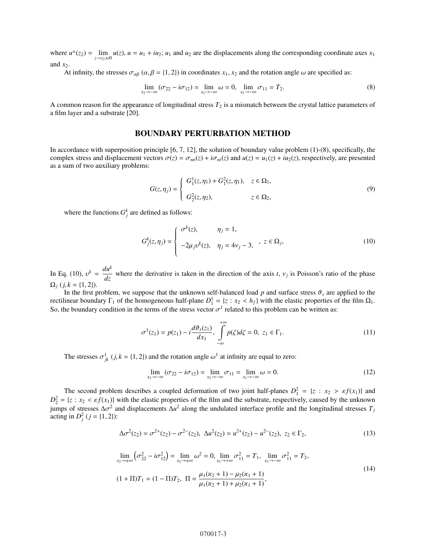where  $u^{\pm}(z_2) = \lim_{z \to z_2 \pm i0} u(z)$ ,  $u = u_1 + iu_2$ ;  $u_1$  and  $u_2$  are the displacements along the corresponding coordinate axes  $x_1$ and  $x_2$ .

At infinity, the stresses  $\sigma_{\alpha\beta}$  ( $\alpha, \beta = \{1, 2\}$ ) in coordinates  $x_1, x_2$  and the rotation angle  $\omega$  are specified as:

$$
\lim_{x_2 \to -\infty} (\sigma_{22} - i \sigma_{12}) = \lim_{x_2 \to -\infty} \omega = 0, \ \lim_{x_2 \to -\infty} \sigma_{11} = T_2.
$$
 (8)

A common reason for the appearance of longitudinal stress *T*<sup>2</sup> is a mismatch between the crystal lattice parameters of a film layer and a substrate [20].

#### BOUNDARY PERTURBATION METHOD

In accordance with superposition principle [6, 7, 12], the solution of boundary value problem (1)-(8), specifically, the complex stress and displacement vectors  $\sigma(z) = \sigma_{nn}(z) + i\sigma_{nl}(z)$  and  $u(z) = u_1(z) + iu_2(z)$ , respectively, are presented as a sum of two auxiliary problems:

$$
G(z, \eta_j) = \begin{cases} G_1^1(z, \eta_1) + G_1^2(z, \eta_1), & z \in \Omega_1, \\ G_2^2(z, \eta_2), & z \in \Omega_2, \end{cases}
$$
(9)

where the functions  $G_j^k$  are defined as follows:

$$
G_j^k(z, \eta_j) = \begin{cases} \sigma^k(z), & \eta_j = 1, \\ -2\mu_j v^k(z), & \eta_j = 4\nu_j - 3, \end{cases}, z \in \Omega_j,
$$
 (10)

In Eq. (10),  $v^k = \frac{du^k}{dz}$ *dz* where the derivative is taken in the direction of the axis *t*,  $v_j$  is Poisson's ratio of the phase  $\Omega_i$  (*j*,  $k = \{1, 2\}$ ).

In the first problem, we suppose that the unknown self-balanced load  $p$  and surface stress  $\vartheta_s$  are applied to the rectilinear boundary Γ<sub>1</sub> of the homogeneous half-plane  $D_1^1 = \{z : x_2 < h_f\}$  with the elastic properties of the film  $\Omega_1$ .<br>So the houndary condition in the terms of the stress vector  $\pi_1^1$  related to this problem ca So, the boundary condition in the terms of the stress vector  $\sigma^1$  related to this problem can be written as:

$$
\sigma^{1}(z_{1}) = p(z_{1}) - i \frac{d\vartheta_{s}(z_{1})}{dx_{1}}, \int_{-\infty}^{+\infty} p(\zeta) d\zeta = 0, \ z_{1} \in \Gamma_{1}.
$$
 (11)

The stresses  $\sigma_{jk}^1$  (*j*, *k* = {1, 2}) and the rotation angle  $\omega^1$  at infinity are equal to zero:

$$
\lim_{x_2 \to -\infty} (\sigma_{22} - i \sigma_{12}) = \lim_{x_2 \to -\infty} \sigma_{11} = \lim_{x_2 \to -\infty} \omega = 0.
$$
 (12)

The second problem describes a coupled deformation of two joint half-planes  $D_1^2 = \{z : x_2 > \varepsilon f(x_1)\}\$  and  $\{z : x_2 > \varepsilon f(x_1)\}\$  with the elastic properties of the film and the substrate respectively caused by the unknown  $D_2^2 = \{z : x_2 < \varepsilon f(x_1)\}$  with the elastic properties of the film and the substrate, respectively, caused by the unknown<br>iumps of stresses  $\Delta \sigma^2$  and displacements  $\Delta u^2$  along the undulated interface profile and the jumps of stresses  $\Delta \sigma^2$  and displacements  $\Delta u^2$  along the undulated interface profile and the longitudinal stresses  $T_j$  acting in  $D^2$  (*i* = {1 2}). acting in  $D_j^2$  ( $j = \{1, 2\}$ ):

$$
\Delta \sigma^2(z_2) = \sigma^{2+}(z_2) - \sigma^{2-}(z_2), \ \Delta u^2(z_2) = u^{2+}(z_2) - u^{2-}(z_2), \ z_2 \in \Gamma_2,\tag{13}
$$

$$
\lim_{x_2 \to \pm \infty} \left( \sigma_{22}^2 - i \sigma_{12}^2 \right) = \lim_{x_2 \to \pm \infty} \omega^2 = 0, \lim_{x_2 \to \pm \infty} \sigma_{11}^2 = T_1, \lim_{x_2 \to \pm \infty} \sigma_{11}^2 = T_2,
$$
\n
$$
(1 + \Pi)T_1 = (1 - \Pi)T_2, \ \Pi = \frac{\mu_1(\varkappa_2 + 1) - \mu_2(\varkappa_1 + 1)}{\mu_1(\varkappa_2 + 1) + \mu_2(\varkappa_1 + 1)},
$$
\n
$$
(14)
$$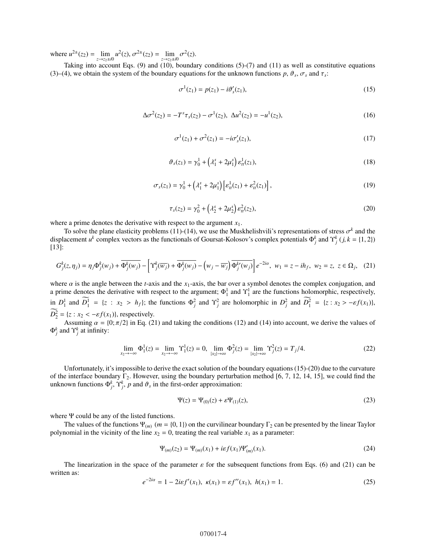where  $u^{2\pm}(z_2) = \lim_{z \to z_2 \pm i0} u^2(z)$ ,  $\sigma^{2\pm}(z_2) = \lim_{z \to z_2 \pm i0} \sigma$  $^{2}(z).$ 

Taking into account Eqs. (9) and (10), boundary conditions (5)-(7) and (11) as well as constitutive equations (3)–(4), we obtain the system of the boundary equations for the unknown functions  $p$ ,  $\vartheta_s$ ,  $\sigma_s$  and  $\tau_s$ :

$$
\sigma^1(z_1) = p(z_1) - i\vartheta'_s(z_1),\tag{15}
$$

$$
\Delta \sigma^2(z_2) = -T^s \tau_s(z_2) - \sigma^1(z_2), \ \Delta u^2(z_2) = -u^1(z_2), \tag{16}
$$

$$
\sigma^{1}(z_{1}) + \sigma^{2}(z_{1}) = -i\sigma'_{s}(z_{1}),
$$
\n(17)

$$
\vartheta_s(z_1) = \gamma_0^1 + \left(\lambda_1^s + 2\mu_1^s\right) \varepsilon_{tt}^1(z_1),\tag{18}
$$

$$
\sigma_s(z_1) = \gamma_0^1 + \left(\lambda_1^s + 2\mu_1^s\right) \left[\varepsilon_{tt}^1(z_1) + \varepsilon_{tt}^2(z_1)\right],\tag{19}
$$

$$
\tau_s(z_2) = \gamma_0^2 + \left(\lambda_2^s + 2\mu_2^s\right) \varepsilon_{tt}^2(z_2),\tag{20}
$$

where a prime denotes the derivative with respect to the argument  $x_1$ .

To solve the plane elasticity problems (11)-(14), we use the Muskhelishvili's representations of stress  $\sigma^k$  and the accurations of stress  $\sigma^k$  and  $\gamma^k$  (*i*  $k = (1, 2)$ ) displacement  $u^k$  complex vectors as the functionals of Goursat-Kolosov's complex potentials  $\Phi_j^k$  and  $\Upsilon_j^k$  (*j*,  $k = \{1, 2\}$ ) [13]:

$$
G_j^k(z, \eta_j) = \eta_j \Phi_j^k(w_j) + \overline{\Phi_j^k(w_j)} - \left[ \Upsilon_j^k(\overline{w_j}) + \overline{\Phi_j^k(w_j)} - \left( w_j - \overline{w_j} \right) \overline{\Phi_j^k(w_j)} \right] e^{-2i\alpha}, \ w_1 = z - ih_f, \ w_2 = z, \ z \in \Omega_j, \ (21)
$$

where  $\alpha$  is the angle between the *t*-axis and the  $x_1$ -axis, the bar over a symbol denotes the complex conjugation, and a prime denotes the derivative with respect to the argument;  $\Phi_1^1$  and  $\Upsilon_1^1$  are the functions holomorphic, respectively, in  $D_1^1$  and  $D_1^1 = \{z : x_2 > h_f\}$ ; the functions  $\Phi_j^2$  and  $\Upsilon_j^2$  are holomorphic in  $D_j^2$  and  $D_1^2 = \{z : x_2 > -\varepsilon f(x_1)\},\$  $D_2^2 = \{z : x_2 < -\varepsilon f(x_1)\}\text{, respectively.}$ <br>Assuming  $\alpha = \{0, \pi/2\}$  in Eq. (2)

Assuming  $\alpha = \{0; \pi/2\}$  in Eq. (21) and taking the conditions (12) and (14) into account, we derive the values of  $\Phi_j^k$  and  $\Upsilon_j^k$  at infinity:

$$
\lim_{x_2 \to -\infty} \Phi_1^1(z) = \lim_{x_2 \to -\infty} \Upsilon_1^1(z) = 0, \ \lim_{|x_2| \to \infty} \Phi_j^2(z) = \lim_{|x_2| \to \infty} \Upsilon_j^2(z) = T_j/4. \tag{22}
$$

Unfortunately, it's impossible to derive the exact solution of the boundary equations (15)-(20) due to the curvature of the interface boundary  $\Gamma_2$ . However, using the boundary perturbation method [6, 7, 12, 14, 15], we could find the unknown functions  $\Phi_j^k$ ,  $\Upsilon_j^k$ ,  $p$  and  $\vartheta_s$  in the first-order approximation:

$$
\Psi(z) = \Psi_{(0)}(z) + \varepsilon \Psi_{(1)}(z),\tag{23}
$$

where Ψ could be any of the listed functions.

The values of the functions  $\Psi_{(m)}$  ( $m = \{0, 1\}$ ) on the curvilinear boundary  $\Gamma_2$  can be presented by the linear Taylor polynomial in the vicinity of the line  $x_2 = 0$ , treating the real variable  $x_1$  as a parameter:

$$
\Psi_{(m)}(z_2) = \Psi_{(m)}(x_1) + i\varepsilon f(x_1)\Psi'_{(m)}(x_1).
$$
\n(24)

The linearization in the space of the parameter  $\varepsilon$  for the subsequent functions from Eqs. (6) and (21) can be written as:

$$
e^{-2i\alpha} = 1 - 2i\varepsilon f'(x_1), \ \kappa(x_1) = \varepsilon f''(x_1), \ h(x_1) = 1. \tag{25}
$$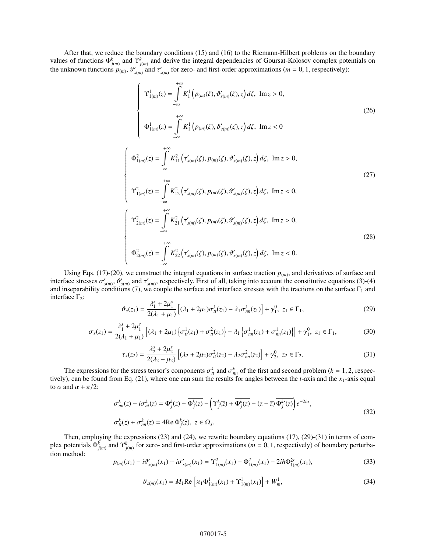After that, we reduce the boundary conditions (15) and (16) to the Riemann-Hilbert problems on the boundary values of functions  $\Phi^k_{j(m)}$  and  $\Upsilon^k_{j(m)}$  and derive the integral dependencies of Goursat-Kolosov complex potentials on the unknown functions  $p_{(m)}$ ,  $\vartheta'_{s(m)}$  and  $\tau'_{s(m)}$  for zero- and first-order approximations (*m* = 0, 1, respectively):

$$
\begin{cases}\n\Upsilon_{1(m)}^1(z) = \int_{-\infty}^{+\infty} K_1^1(p_{(m)}(\zeta), \vartheta'_{s(m)}(\zeta), z) d\zeta, \text{ Im } z > 0, \\
\varphi_{1(m)}^1(z) = \int_{-\infty}^{+\infty} K_1^1(p_{(m)}(\zeta), \vartheta'_{s(m)}(\zeta), z) d\zeta, \text{ Im } z < 0\n\end{cases}
$$
\n(26)

$$
\begin{cases}\n\Phi_{1(m)}^{2}(z) = \int_{-\infty}^{+\infty} K_{11}^{2} \left( \tau'_{s(m)}(\zeta), p_{(m)}(\zeta), \vartheta'_{s(m)}(\zeta), z \right) d\zeta, \text{ Im } z > 0, \\
\Upsilon_{1(m)}^{2}(z) = \int_{-\infty}^{+\infty} K_{12}^{2} \left( \tau'_{s(m)}(\zeta), p_{(m)}(\zeta), \vartheta'_{s(m)}(\zeta), z \right) d\zeta, \text{ Im } z < 0, \\
\Upsilon_{2(m)}^{2}(z) = \int_{-\infty}^{+\infty} K_{21}^{2} \left( \tau'_{s(m)}(\zeta), p_{(m)}(\zeta), \vartheta'_{s(m)}(\zeta), z \right) d\zeta, \text{ Im } z > 0, \\
\Phi_{2(m)}^{2}(z) = \int_{-\infty}^{+\infty} K_{22}^{2} \left( \tau'_{s(m)}(\zeta), p_{(m)}(\zeta), \vartheta'_{s(m)}(\zeta), z \right) d\zeta, \text{ Im } z < 0.\n\end{cases}
$$
\n(28)

Using Eqs.  $(17)-(20)$ , we construct the integral equations in surface traction  $p_{(m)}$ , and derivatives of surface and interface stresses  $\sigma'_{s(m)}$ ,  $\theta'_{s(m)}$  and  $\tau'_{s(m)}$ , respectively. First of all, taking into account the constitutive equations (3)-(4) and insensity conditions (7) we counte the surface and interface stresses with the and inseparability conditions (7), we couple the surface and interface stresses with the tractions on the surface  $\Gamma_1$  and interface  $Γ<sub>2</sub>$ :

$$
\vartheta_s(z_1) = \frac{\lambda_1^s + 2\mu_1^s}{2(\lambda_1 + \mu_1)} \left[ (\lambda_1 + 2\mu_1) \sigma_u^1(z_1) - \lambda_1 \sigma_{nn}^1(z_1) \right] + \gamma_1^0, \ z_1 \in \Gamma_1,\tag{29}
$$

$$
\sigma_s(z_1) = \frac{\lambda_1^s + 2\mu_1^s}{2(\lambda_1 + \mu_1)} \left[ (\lambda_1 + 2\mu_1) \left\{ \sigma_u^1(z_1) + \sigma_u^2(z_1) \right\} - \lambda_1 \left\{ \sigma_{nn}^1(z_1) + \sigma_{nn}^1(z_1) \right\} \right] + \gamma_1^0, \ z_1 \in \Gamma_1,
$$
\n(30)

$$
\tau_s(z_2) = \frac{\lambda_2^s + 2\mu_2^s}{2(\lambda_2 + \mu_2)} \left[ (\lambda_2 + 2\mu_2) \sigma_{tt}^2(z_2) - \lambda_2 \sigma_{nn}^2(z_2) \right] + \gamma_2^0, \ z_2 \in \Gamma_2.
$$
 (31)

The expressions for the stress tensor's components  $\sigma_h^k$  and  $\sigma_{nn}^k$  of the first and second problem ( $k = 1, 2$ , respec-<br>*i*) can be found from Eq. (21), where one can sum the results for angles between the *t*-axis a tively), can be found from Eq.  $(21)$ , where one can sum the results for angles between the *t*-axis and the  $x_1$ -axis equal to  $\alpha$  and  $\alpha + \pi/2$ :

$$
\sigma_{nn}^{k}(z) + i\sigma_{nt}^{k}(z) = \Phi_{j}^{k}(z) + \overline{\Phi_{j}^{k}(z)} - (\Upsilon_{j}^{k}(\overline{z}) + \overline{\Phi_{j}^{k}(z)} - (z - \overline{z})\overline{\Phi_{j}^{k}(z)})e^{-2i\alpha},
$$
  
\n
$$
\sigma_{tt}^{k}(z) + \sigma_{nn}^{k}(z) = 4\text{Re }\Phi_{j}^{k}(z), \ z \in \Omega_{j}.
$$
\n(32)

Then, employing the expressions (23) and (24), we rewrite boundary equations (17), (29)-(31) in terms of complex potentials  $\Phi^k_{j(m)}$  and  $\Upsilon^k_{j(m)}$  for zero- and first-order approximations (*m* = 0, 1, respectively) of boundary perturbation method:

$$
p_{(m)}(x_1) - i\vartheta'_{s(m)}(x_1) + i\sigma'_{s(m)}(x_1) = \Upsilon^2_{1(m)}(x_1) - \Phi^2_{1(m)}(x_1) - 2ih\Phi^2_{1(m)}(x_1),\tag{33}
$$

$$
\vartheta_{s(m)}(x_1) = M_1 \text{Re} \left[ \varkappa_1 \Phi_{1(m)}^1(x_1) + \Upsilon_{1(m)}^1(x_1) \right] + W_m^1, \tag{34}
$$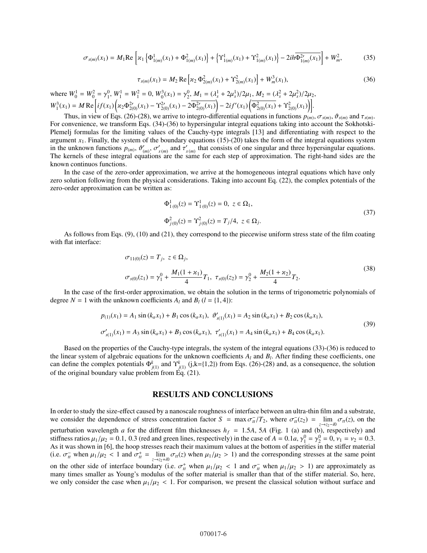$$
\sigma_{s(m)}(x_1) = M_1 \text{Re} \left[ \varkappa_1 \left\{ \Phi_{1(m)}^1(x_1) + \Phi_{1(m)}^2(x_1) \right\} + \left\{ \Upsilon_{1(m)}^1(x_1) + \Upsilon_{1(m)}^2(x_1) \right\} - 2ih \overline{\Phi_{1(m)}^2(x_1)} \right] + W_m^2, \tag{35}
$$

$$
\tau_{s(m)}(x_1) = M_2 \operatorname{Re} \left[ \varkappa_2 \, \Phi_{2(m)}^2(x_1) + \Upsilon_{2(m)}^2(x_1) \right] + W_m^3(x_1),\tag{36}
$$

where  $W_0^1 = W_0^2 = \gamma_1^0$ ,  $W_1^1 = W_1^2 = 0$ ,  $W_0^3(x_1) = \gamma_2^0$ ,  $M_1 = (\lambda_s^1 + 2\mu_s^1)/2\mu_1$ ,  $M_2 = (\lambda_s^2 + 2\mu_s^2)/2\mu_2$ ,  $W_1^3(x_1) = M \operatorname{Re} \left[ i f(x_1) \left( \varkappa_2 \Phi_{2(0)}^{2\prime}(x_1) - \Upsilon_{2(0)}^{2\prime}(x_1) - 2 \overline{\Phi_{2(0)}^{2\prime}(x_1)} \right) - 2i f'(x_1) \left( \overline{\Phi_{2(0)}^2(x_1)} + \Upsilon_{2(0)}^2(x_1) \right) \right].$ 

Thus, in view of Eqs. (26)-(28), we arrive to integro-differential equations in functions  $p_{(m)}$ ,  $\sigma_{s(m)}$ ,  $\vartheta_{s(m)}$  and  $\tau_{s(m)}$ .<br>Convenience, we transform Eqs. (34)-(36) to hypersingular integral equations taking into For convenience, we transform Eqs. (34)-(36) to hypersingular integral equations taking into account the Sokhotski-Plemelj formulas for the limiting values of the Cauchy-type integrals [13] and differentiating with respect to the argument  $x_1$ . Finally, the system of the boundary equations (15)-(20) takes the form of the integral equations system in the unknown functions  $p_{(m)}$ ,  $\sigma'_{s(m)}$  and  $\tau'_{s(m)}$  that consists of one singular and three hypersingular equations.<br>The kernels of these integral equations are the same for each step of approximation. The right-han The kernels of these integral equations are the same for each step of approximation. The right-hand sides are the known continuos functions.

In the case of the zero-order approximation, we arrive at the homogeneous integral equations which have only zero solution following from the physical considerations. Taking into account Eq. (22), the complex potentials of the zero-order approximation can be written as:

$$
\Phi_{1(0)}^1(z) = \Upsilon_{1(0)}^1(z) = 0, \ z \in \Omega_1,
$$
  

$$
\Phi_{j(0)}^2(z) = \Upsilon_{j(0)}^2(z) = T_j/4, \ z \in \Omega_j.
$$
 (37)

As follows from Eqs. (9), (10) and (21), they correspond to the piecewise uniform stress state of the film coating with flat interface:

$$
\sigma_{11(0)}(z) = T_j, \ z \in \Omega_j,
$$
  
\n
$$
\sigma_{s(0)}(z_1) = \gamma_1^0 + \frac{M_1(1 + \varkappa_1)}{4} T_1, \ \tau_{s(0)}(z_2) = \gamma_2^0 + \frac{M_2(1 + \varkappa_2)}{4} T_2.
$$
\n(38)

In the case of the first-order approximation, we obtain the solution in the terms of trigonometric polynomials of degree  $N = 1$  with the unknown coefficients  $A_l$  and  $B_l$  ( $l = \{1, 4\}$ ):

$$
p_{(1)}(x_1) = A_1 \sin (k_a x_1) + B_1 \cos (k_a x_1), \ \ \theta'_{s(1)}(x_1) = A_2 \sin (k_a x_1) + B_2 \cos (k_a x_1),
$$
  

$$
\sigma'_{s(1)}(x_1) = A_3 \sin (k_a x_1) + B_3 \cos (k_a x_1), \ \ \tau'_{s(1)}(x_1) = A_4 \sin (k_a x_1) + B_4 \cos (k_a x_1).
$$
\n(39)

Based on the properties of the Cauchy-type integrals, the system of the integral equations (33)-(36) is reduced to the linear system of algebraic equations for the unknown coefficients  $A_l$  and  $B_l$ . After finding these coefficients, one can define the complex potentials  $\Phi_{j(1)}^k$  and  $\Upsilon_{j(1)}^k$  (j,k={1,2}) from Eqs. (26)-(28) and, as a consequence, the solution of the original boundary value problem from  $\hat{Eq.}$  (21).

#### RESULTS AND CONCLUSIONS

In order to study the size-effect caused by a nanoscale roughness of interface between an ultra-thin film and a substrate, we consider the dependence of stress concentration factor  $S = \max_{\tau} \sigma_{\tau}^2/T_2$ , where  $\sigma_{\tau}^2(z_2) = \lim_{z \to z_2 - i0} \sigma_{\tau}^2(z)$ , on the perturbation wavelength *a* for the different film thicknesses  $h_f = 1.5A$ , 5*A* (Fig. 1 (a) and (b), respectively) and stiffness ratios  $\mu_1/\mu_2 = 0.1$ , 0.3 (red and green lines, respectively) in the case of  $A = 0.1a$ ,  $\gamma_1^0 = \gamma_2^0 = 0$ ,  $\nu_1 = \nu_2 = 0.3$ .<br>As it was shown in [6], the hoop stresses reach their maximum values at the bottom (i.e.  $\sigma_{tt}^-$  when  $\mu_1/\mu_2 < 1$  and  $\sigma_{tt}^+ = \lim_{z \to z_2 + i0} \sigma_{tt}(z)$  when  $\mu_1/\mu_2 > 1$ ) and the corresponding stresses at the same point on the other side of interface boundary (i.e.  $\sigma_{tt}^+$  when  $\mu_1/\mu_2 < 1$  and  $\sigma_{tt}^-$  when  $\mu_1/\mu_2 > 1$ ) are approximately as many times smaller as Young's modulus of the softer material is smaller than that of the sti many times smaller as Young's modulus of the softer material is smaller than that of the stiffer material. So, here, we only consider the case when  $\mu_1/\mu_2 < 1$ . For comparison, we present the classical solution without surface and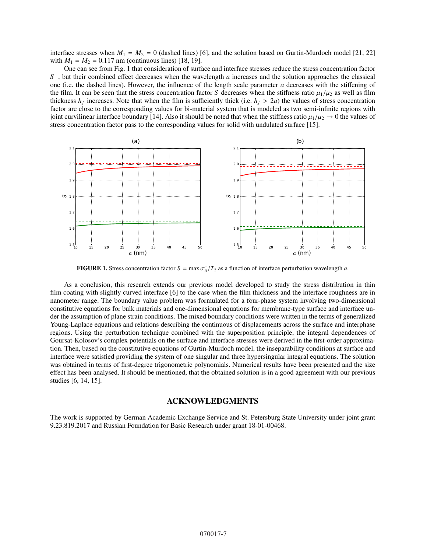interface stresses when  $M_1 = M_2 = 0$  (dashed lines) [6], and the solution based on Gurtin-Murdoch model [21, 22] with  $M_1 = M_2 = 0.117$  nm (continuous lines) [18, 19].

One can see from Fig. 1 that consideration of surface and interface stresses reduce the stress concentration factor *S*<sup>−</sup>, but their combined effect decreases when the wavelength *a* increases and the solution approaches the classical one (i.e. the dashed lines). However, the influence of the length scale parameter *a* decreases with the stiffening of the film. It can be seen that the stress concentration factor *S* decreases when the stiffness ratio  $\mu_1/\mu_2$  as well as film thickness  $h_f$  increases. Note that when the film is sufficiently thick (i.e.  $h_f > 2a$ ) the values of stress concentration factor are close to the corresponding values for bi-material system that is modeled as two semi-in factor are close to the corresponding values for bi-material system that is modeled as two semi-infinite regions with joint curvilinear interface boundary [14]. Also it should be noted that when the stiffness ratio  $\mu_1/\mu_2 \to 0$  the values of stress concentration factor pass to the corresponding values for solid with undulated surface [15].



**FIGURE 1.** Stress concentration factor  $S = \max \sigma_{tt}^T / T_2$  as a function of interface perturbation wavelength *a*.

As a conclusion, this research extends our previous model developed to study the stress distribution in thin film coating with slightly curved interface [6] to the case when the film thickness and the interface roughness are in nanometer range. The boundary value problem was formulated for a four-phase system involving two-dimensional constitutive equations for bulk materials and one-dimensional equations for membrane-type surface and interface under the assumption of plane strain conditions. The mixed boundary conditions were written in the terms of generalized Young-Laplace equations and relations describing the continuous of displacements across the surface and interphase regions. Using the perturbation technique combined with the superposition principle, the integral dependences of Goursat-Kolosov's complex potentials on the surface and interface stresses were derived in the first-order approximation. Then, based on the constitutive equations of Gurtin-Murdoch model, the inseparability conditions at surface and interface were satisfied providing the system of one singular and three hypersingular integral equations. The solution was obtained in terms of first-degree trigonometric polynomials. Numerical results have been presented and the size effect has been analysed. It should be mentioned, that the obtained solution is in a good agreement with our previous studies [6, 14, 15].

# ACKNOWLEDGMENTS

The work is supported by German Academic Exchange Service and St. Petersburg State University under joint grant 9.23.819.2017 and Russian Foundation for Basic Research under grant 18-01-00468.